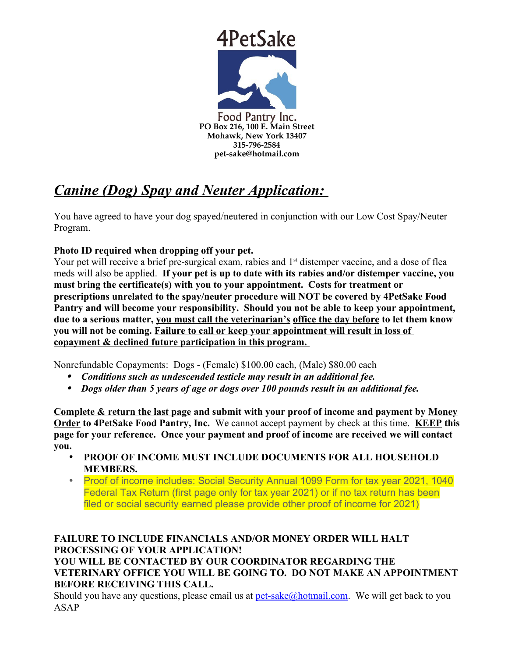

# *Canine (Dog) Spay and Neuter Application:*

You have agreed to have your dog spayed/neutered in conjunction with our Low Cost Spay/Neuter Program.

# **Photo ID required when dropping off your pet.**

Your pet will receive a brief pre-surgical exam, rabies and 1<sup>st</sup> distemper vaccine, and a dose of flea meds will also be applied. **If your pet is up to date with its rabies and/or distemper vaccine, you must bring the certificate(s) with you to your appointment. Costs for treatment or prescriptions unrelated to the spay/neuter procedure will NOT be covered by 4PetSake Food Pantry and will become your responsibility. Should you not be able to keep your appointment, due to a serious matter, you must call the veterinarian's office the day before to let them know you will not be coming. Failure to call or keep your appointment will result in loss of copayment & declined future participation in this program.** 

Nonrefundable Copayments: Dogs - (Female) \$100.00 each, (Male) \$80.00 each

- *Conditions such as undescended testicle may result in an additional fee.*
- *Dogs older than 5 years of age or dogs over 100 pounds result in an additional fee.*

**Complete & return the last page and submit with your proof of income and payment by Money Order to 4PetSake Food Pantry, Inc.** We cannot accept payment by check at this time. **KEEP this page for your reference. Once your payment and proof of income are received we will contact you.** 

- **PROOF OF INCOME MUST INCLUDE DOCUMENTS FOR ALL HOUSEHOLD MEMBERS.**
- Proof of income includes: Social Security Annual 1099 Form for tax year 2021, 1040 Federal Tax Return (first page only for tax year 2021) or if no tax return has been filed or social security earned please provide other proof of income for 2021)

## **FAILURE TO INCLUDE FINANCIALS AND/OR MONEY ORDER WILL HALT PROCESSING OF YOUR APPLICATION! YOU WILL BE CONTACTED BY OUR COORDINATOR REGARDING THE**

**VETERINARY OFFICE YOU WILL BE GOING TO. DO NOT MAKE AN APPOINTMENT BEFORE RECEIVING THIS CALL.**

Should you have any questions, please email us at  $pet\text{-}sake@hotmail.com$ . We will get back to you ASAP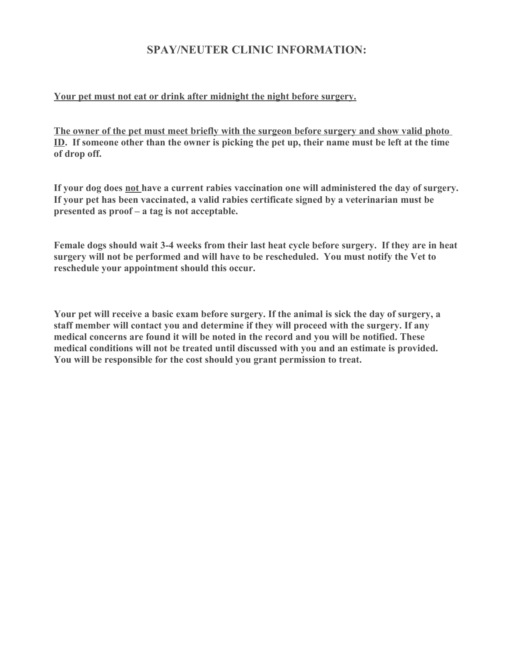# **SPAY/NEUTER CLINIC INFORMATION:**

#### **Your pet must not eat or drink after midnight the night before surgery.**

**The owner of the pet must meet briefly with the surgeon before surgery and show valid photo ID. If someone other than the owner is picking the pet up, their name must be left at the time of drop off.**

**If your dog does not have a current rabies vaccination one will administered the day of surgery. If your pet has been vaccinated, a valid rabies certificate signed by a veterinarian must be presented as proof – a tag is not acceptable.**

**Female dogs should wait 3-4 weeks from their last heat cycle before surgery. If they are in heat surgery will not be performed and will have to be rescheduled. You must notify the Vet to reschedule your appointment should this occur.**

**Your pet will receive a basic exam before surgery. If the animal is sick the day of surgery, a staff member will contact you and determine if they will proceed with the surgery. If any medical concerns are found it will be noted in the record and you will be notified. These medical conditions will not be treated until discussed with you and an estimate is provided. You will be responsible for the cost should you grant permission to treat.**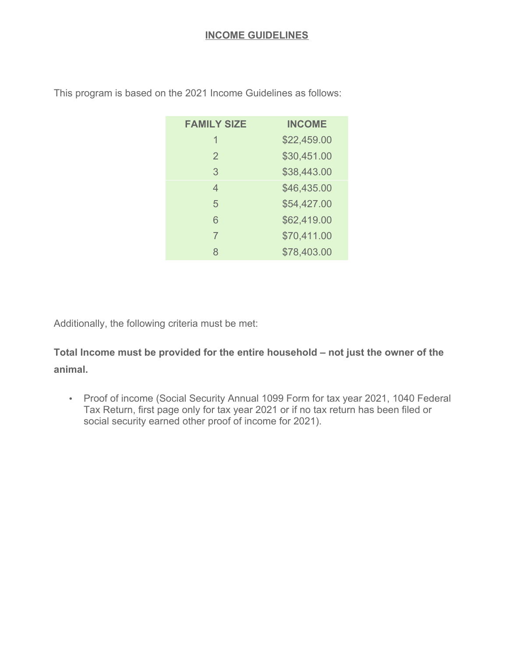| <b>FAMILY SIZE</b> | <b>INCOME</b> |
|--------------------|---------------|
| 1                  | \$22,459.00   |
| $\overline{2}$     | \$30,451.00   |
| 3                  | \$38,443.00   |
| 4                  | \$46,435.00   |
| 5                  | \$54,427.00   |
| 6                  | \$62,419.00   |
| 7                  | \$70,411.00   |
| 8                  | \$78,403.00   |

This program is based on the 2021 Income Guidelines as follows:

Additionally, the following criteria must be met:

**Total Income must be provided for the entire household – not just the owner of the animal.**

• Proof of income (Social Security Annual 1099 Form for tax year 2021, 1040 Federal Tax Return, first page only for tax year 2021 or if no tax return has been filed or social security earned other proof of income for 2021).